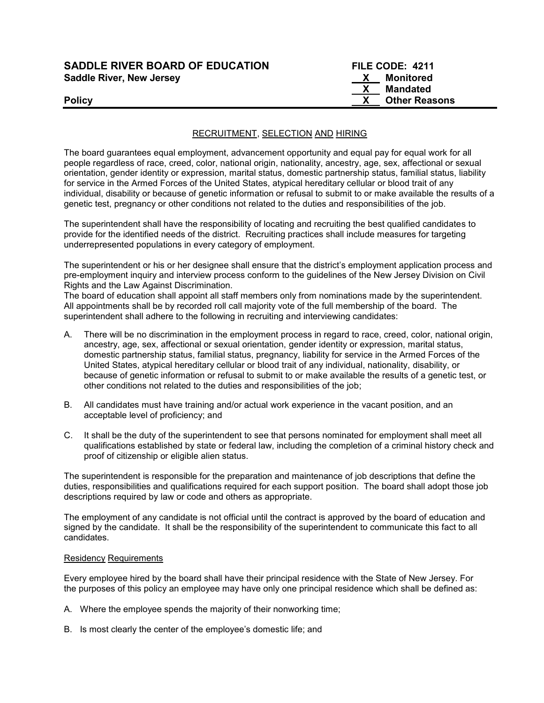| <b>SADDLE RIVER BOARD OF EDUCATION</b> | FILE CODE: 4211      |
|----------------------------------------|----------------------|
| <b>Saddle River, New Jersey</b>        | Monitored            |
|                                        | Mandated             |
| <b>Policy</b>                          | <b>Other Reasons</b> |

### RECRUITMENT, SELECTION AND HIRING

The board guarantees equal employment, advancement opportunity and equal pay for equal work for all people regardless of race, creed, color, national origin, nationality, ancestry, age, sex, affectional or sexual orientation, gender identity or expression, marital status, domestic partnership status, familial status, liability for service in the Armed Forces of the United States, atypical hereditary cellular or blood trait of any individual, disability or because of genetic information or refusal to submit to or make available the results of a genetic test, pregnancy or other conditions not related to the duties and responsibilities of the job.

The superintendent shall have the responsibility of locating and recruiting the best qualified candidates to provide for the identified needs of the district. Recruiting practices shall include measures for targeting underrepresented populations in every category of employment.

The superintendent or his or her designee shall ensure that the district's employment application process and pre-employment inquiry and interview process conform to the guidelines of the New Jersey Division on Civil Rights and the Law Against Discrimination.

The board of education shall appoint all staff members only from nominations made by the superintendent. All appointments shall be by recorded roll call majority vote of the full membership of the board. The superintendent shall adhere to the following in recruiting and interviewing candidates:

- A. There will be no discrimination in the employment process in regard to race, creed, color, national origin, ancestry, age, sex, affectional or sexual orientation, gender identity or expression, marital status, domestic partnership status, familial status, pregnancy, liability for service in the Armed Forces of the United States, atypical hereditary cellular or blood trait of any individual, nationality, disability, or because of genetic information or refusal to submit to or make available the results of a genetic test, or other conditions not related to the duties and responsibilities of the job;
- B. All candidates must have training and/or actual work experience in the vacant position, and an acceptable level of proficiency; and
- C. It shall be the duty of the superintendent to see that persons nominated for employment shall meet all qualifications established by state or federal law, including the completion of a criminal history check and proof of citizenship or eligible alien status.

The superintendent is responsible for the preparation and maintenance of job descriptions that define the duties, responsibilities and qualifications required for each support position. The board shall adopt those job descriptions required by law or code and others as appropriate.

The employment of any candidate is not official until the contract is approved by the board of education and signed by the candidate. It shall be the responsibility of the superintendent to communicate this fact to all candidates.

#### Residency Requirements

Every employee hired by the board shall have their principal residence with the State of New Jersey. For the purposes of this policy an employee may have only one principal residence which shall be defined as:

- A. Where the employee spends the majority of their nonworking time;
- B. Is most clearly the center of the employee's domestic life; and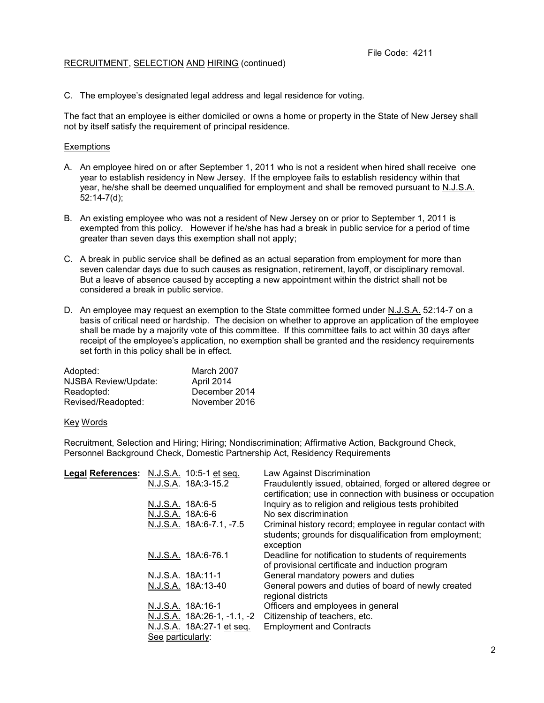### RECRUITMENT, SELECTION AND HIRING (continued)

C. The employee's designated legal address and legal residence for voting.

The fact that an employee is either domiciled or owns a home or property in the State of New Jersey shall not by itself satisfy the requirement of principal residence.

### **Exemptions**

- A. An employee hired on or after September 1, 2011 who is not a resident when hired shall receive one year to establish residency in New Jersey. If the employee fails to establish residency within that year, he/she shall be deemed unqualified for employment and shall be removed pursuant to N.J.S.A. 52:14-7(d);
- B. An existing employee who was not a resident of New Jersey on or prior to September 1, 2011 is exempted from this policy. However if he/she has had a break in public service for a period of time greater than seven days this exemption shall not apply;
- C. A break in public service shall be defined as an actual separation from employment for more than seven calendar days due to such causes as resignation, retirement, layoff, or disciplinary removal. But a leave of absence caused by accepting a new appointment within the district shall not be considered a break in public service.
- D. An employee may request an exemption to the State committee formed under N.J.S.A. 52:14-7 on a basis of critical need or hardship. The decision on whether to approve an application of the employee shall be made by a majority vote of this committee. If this committee fails to act within 30 days after receipt of the employee's application, no exemption shall be granted and the residency requirements set forth in this policy shall be in effect.

| March 2007    |
|---------------|
| April 2014    |
| December 2014 |
| November 2016 |
|               |

#### Key Words

Recruitment, Selection and Hiring; Hiring; Nondiscrimination; Affirmative Action, Background Check, Personnel Background Check, Domestic Partnership Act, Residency Requirements

| Legal References: N.J.S.A. 10:5-1 et seq. | Law Against Discrimination                                   |
|-------------------------------------------|--------------------------------------------------------------|
| N.J.S.A. 18A:3-15.2                       | Fraudulently issued, obtained, forged or altered degree or   |
|                                           | certification; use in connection with business or occupation |
| N.J.S.A. 18A:6-5                          | Inquiry as to religion and religious tests prohibited        |
| N.J.S.A. 18A:6-6                          | No sex discrimination                                        |
| N.J.S.A. 18A:6-7.1, -7.5                  | Criminal history record; employee in regular contact with    |
|                                           | students; grounds for disqualification from employment;      |
|                                           | exception                                                    |
| N.J.S.A. 18A:6-76.1                       | Deadline for notification to students of requirements        |
|                                           | of provisional certificate and induction program             |
| N.J.S.A. 18A:11-1                         | General mandatory powers and duties                          |
| N.J.S.A. 18A:13-40                        | General powers and duties of board of newly created          |
|                                           | regional districts                                           |
| N.J.S.A. 18A:16-1                         | Officers and employees in general                            |
| N.J.S.A. 18A:26-1, -1.1, -2               | Citizenship of teachers, etc.                                |
| N.J.S.A. 18A:27-1 et seq.                 | <b>Employment and Contracts</b>                              |
| See particularly:                         |                                                              |